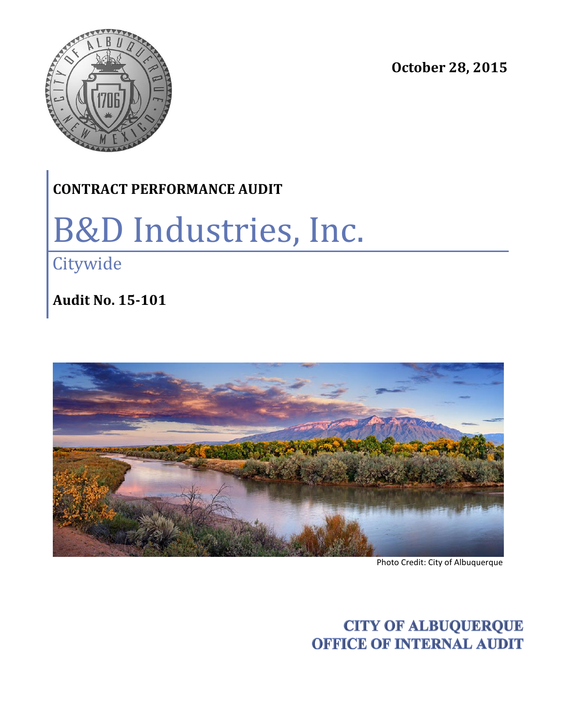



### **CONTRACT PERFORMANCE AUDIT**

# B&D Industries, Inc.

**Citywide** 

**Audit No. 15-101**



Photo Credit: City of Albuquerque

**CITY OF ALBUQUERQUE OFFICE OF INTERNAL AUDIT**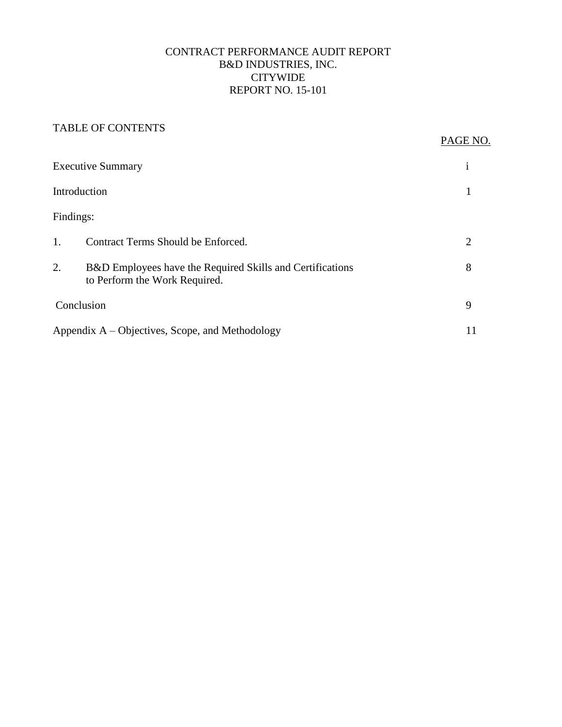#### CONTRACT PERFORMANCE AUDIT REPORT B&D INDUSTRIES, INC. CITYWIDE REPORT NO. 15-101

#### TABLE OF CONTENTS

#### PAGE NO.

| <b>Executive Summary</b> |                                                                                                       |   |  |
|--------------------------|-------------------------------------------------------------------------------------------------------|---|--|
|                          | Introduction                                                                                          |   |  |
| Findings:                |                                                                                                       |   |  |
| $\mathbf{1}$ .           | Contract Terms Should be Enforced.                                                                    | 2 |  |
| 2.                       | <b>B&amp;D</b> Employees have the Required Skills and Certifications<br>to Perform the Work Required. | 8 |  |
|                          | Conclusion                                                                                            |   |  |
|                          | Appendix A – Objectives, Scope, and Methodology                                                       |   |  |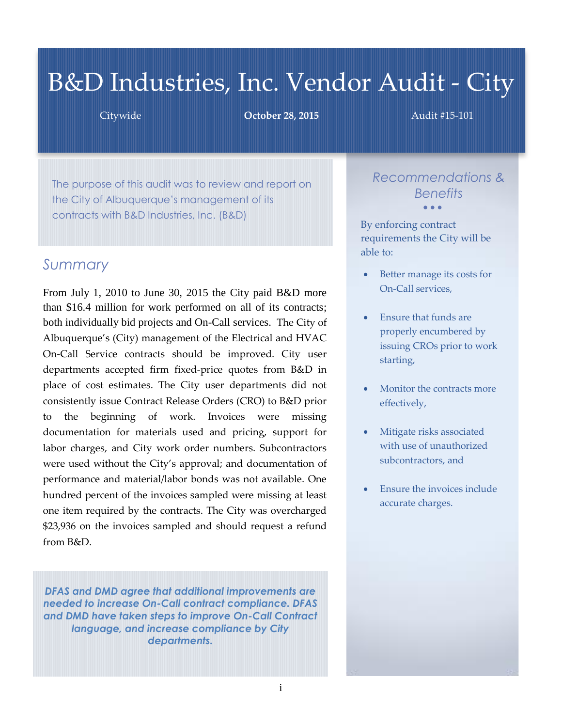## B&D Industries, Inc. Vendor Audit - City

Citywide **October 28, 2015** Audit #15-101

The purpose of this audit was to review and report on the City of Albuquerque's management of its contracts with B&D Industries, Inc. (B&D)

#### *Summary*

From July 1, 2010 to June 30, 2015 the City paid B&D more than \$16.4 million for work performed on all of its contracts; both individually bid projects and On-Call services. The City of Albuquerque's (City) management of the Electrical and HVAC On-Call Service contracts should be improved. City user departments accepted firm fixed-price quotes from B&D in place of cost estimates. The City user departments did not consistently issue Contract Release Orders (CRO) to B&D prior to the beginning of work. Invoices were missing documentation for materials used and pricing, support for labor charges, and City work order numbers. Subcontractors were used without the City's approval; and documentation of performance and material/labor bonds was not available. One hundred percent of the invoices sampled were missing at least one item required by the contracts. The City was overcharged \$23,936 on the invoices sampled and should request a refund from B&D.

*DFAS and DMD agree that additional improvements are needed to increase On-Call contract compliance. DFAS and DMD have taken steps to improve On-Call Contract language, and increase compliance by City departments.*

*Recommendations & Benefits*  $\bullet$   $\bullet$   $\bullet$ 

By enforcing contract requirements the City will be able to:

- Better manage its costs for On-Call services,
- Ensure that funds are properly encumbered by issuing CROs prior to work starting,
- Monitor the contracts more effectively,
- Mitigate risks associated with use of unauthorized subcontractors, and
- Ensure the invoices include accurate charges.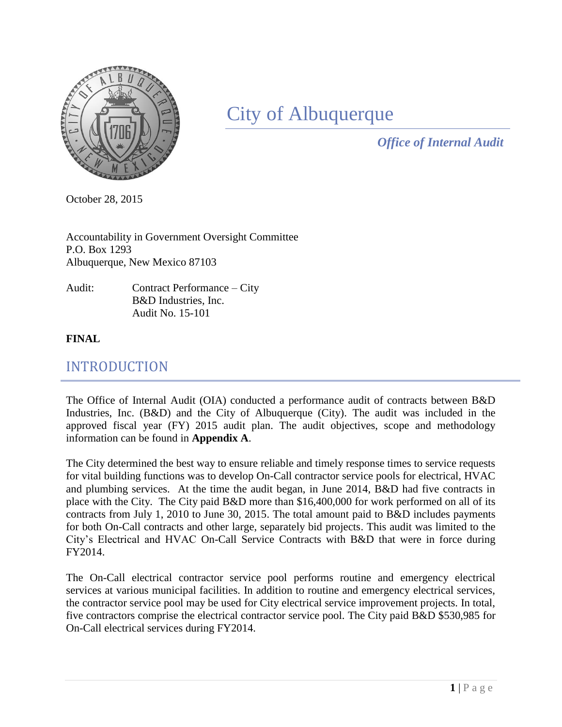

## City of Albuquerque

*Office of Internal Audit*

October 28, 2015

Accountability in Government Oversight Committee P.O. Box 1293 Albuquerque, New Mexico 87103

Audit: Contract Performance – City B&D Industries, Inc. Audit No. 15-101

#### **FINAL**

#### INTRODUCTION

The Office of Internal Audit (OIA) conducted a performance audit of contracts between B&D Industries, Inc. (B&D) and the City of Albuquerque (City). The audit was included in the approved fiscal year (FY) 2015 audit plan. The audit objectives, scope and methodology information can be found in **Appendix A**.

The City determined the best way to ensure reliable and timely response times to service requests for vital building functions was to develop On-Call contractor service pools for electrical, HVAC and plumbing services. At the time the audit began, in June 2014, B&D had five contracts in place with the City. The City paid B&D more than \$16,400,000 for work performed on all of its contracts from July 1, 2010 to June 30, 2015. The total amount paid to B&D includes payments for both On-Call contracts and other large, separately bid projects. This audit was limited to the City's Electrical and HVAC On-Call Service Contracts with B&D that were in force during FY2014.

The On-Call electrical contractor service pool performs routine and emergency electrical services at various municipal facilities. In addition to routine and emergency electrical services, the contractor service pool may be used for City electrical service improvement projects. In total, five contractors comprise the electrical contractor service pool. The City paid B&D \$530,985 for On-Call electrical services during FY2014.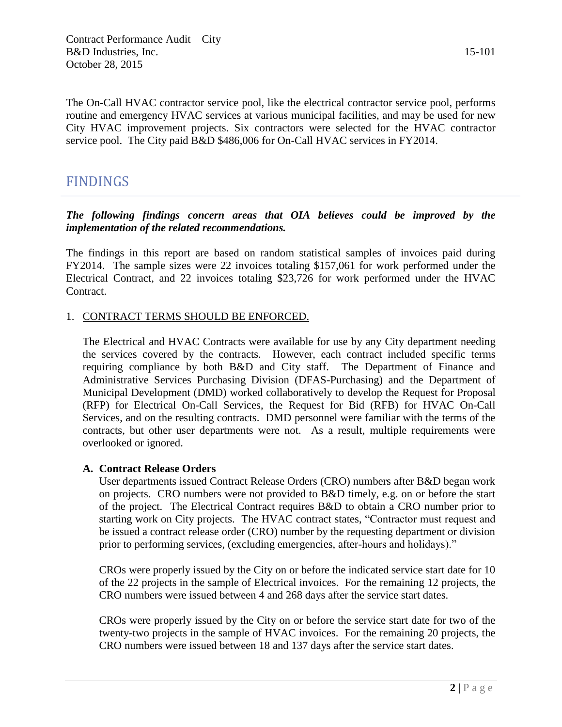The On-Call HVAC contractor service pool, like the electrical contractor service pool, performs routine and emergency HVAC services at various municipal facilities, and may be used for new City HVAC improvement projects. Six contractors were selected for the HVAC contractor service pool. The City paid B&D \$486,006 for On-Call HVAC services in FY2014.

#### FINDINGS

#### *The following findings concern areas that OIA believes could be improved by the implementation of the related recommendations.*

The findings in this report are based on random statistical samples of invoices paid during FY2014. The sample sizes were 22 invoices totaling \$157,061 for work performed under the Electrical Contract, and 22 invoices totaling \$23,726 for work performed under the HVAC Contract.

#### 1. CONTRACT TERMS SHOULD BE ENFORCED.

The Electrical and HVAC Contracts were available for use by any City department needing the services covered by the contracts. However, each contract included specific terms requiring compliance by both B&D and City staff. The Department of Finance and Administrative Services Purchasing Division (DFAS-Purchasing) and the Department of Municipal Development (DMD) worked collaboratively to develop the Request for Proposal (RFP) for Electrical On-Call Services, the Request for Bid (RFB) for HVAC On-Call Services, and on the resulting contracts. DMD personnel were familiar with the terms of the contracts, but other user departments were not. As a result, multiple requirements were overlooked or ignored.

#### **A. Contract Release Orders**

User departments issued Contract Release Orders (CRO) numbers after B&D began work on projects. CRO numbers were not provided to B&D timely, e.g. on or before the start of the project. The Electrical Contract requires B&D to obtain a CRO number prior to starting work on City projects. The HVAC contract states, "Contractor must request and be issued a contract release order (CRO) number by the requesting department or division prior to performing services, (excluding emergencies, after-hours and holidays)."

CROs were properly issued by the City on or before the indicated service start date for 10 of the 22 projects in the sample of Electrical invoices. For the remaining 12 projects, the CRO numbers were issued between 4 and 268 days after the service start dates.

CROs were properly issued by the City on or before the service start date for two of the twenty-two projects in the sample of HVAC invoices. For the remaining 20 projects, the CRO numbers were issued between 18 and 137 days after the service start dates.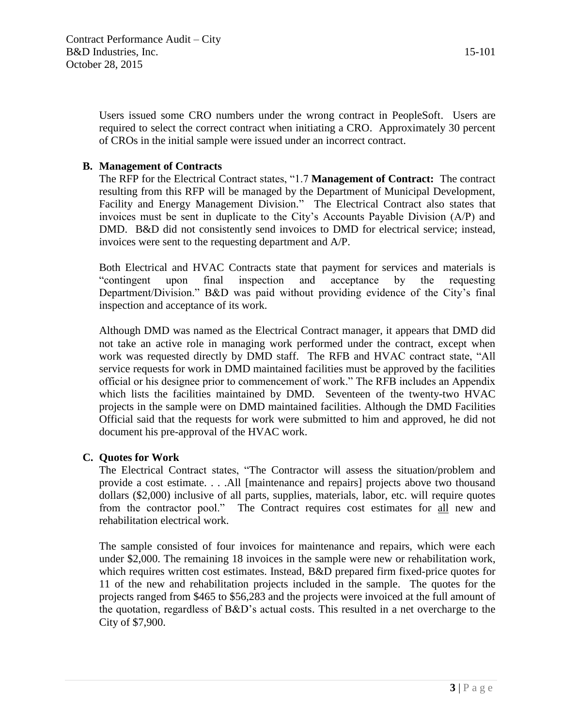Users issued some CRO numbers under the wrong contract in PeopleSoft. Users are required to select the correct contract when initiating a CRO. Approximately 30 percent of CROs in the initial sample were issued under an incorrect contract.

#### **B. Management of Contracts**

The RFP for the Electrical Contract states, "1.7 **Management of Contract:** The contract resulting from this RFP will be managed by the Department of Municipal Development, Facility and Energy Management Division." The Electrical Contract also states that invoices must be sent in duplicate to the City's Accounts Payable Division (A/P) and DMD. B&D did not consistently send invoices to DMD for electrical service; instead, invoices were sent to the requesting department and A/P.

Both Electrical and HVAC Contracts state that payment for services and materials is "contingent upon final inspection and acceptance by the requesting Department/Division." B&D was paid without providing evidence of the City's final inspection and acceptance of its work.

Although DMD was named as the Electrical Contract manager, it appears that DMD did not take an active role in managing work performed under the contract, except when work was requested directly by DMD staff. The RFB and HVAC contract state, "All service requests for work in DMD maintained facilities must be approved by the facilities official or his designee prior to commencement of work." The RFB includes an Appendix which lists the facilities maintained by DMD. Seventeen of the twenty-two HVAC projects in the sample were on DMD maintained facilities. Although the DMD Facilities Official said that the requests for work were submitted to him and approved, he did not document his pre-approval of the HVAC work.

#### **C. Quotes for Work**

The Electrical Contract states, "The Contractor will assess the situation/problem and provide a cost estimate. . . .All [maintenance and repairs] projects above two thousand dollars (\$2,000) inclusive of all parts, supplies, materials, labor, etc. will require quotes from the contractor pool." The Contract requires cost estimates for all new and rehabilitation electrical work.

The sample consisted of four invoices for maintenance and repairs, which were each under \$2,000. The remaining 18 invoices in the sample were new or rehabilitation work, which requires written cost estimates. Instead, B&D prepared firm fixed-price quotes for 11 of the new and rehabilitation projects included in the sample. The quotes for the projects ranged from \$465 to \$56,283 and the projects were invoiced at the full amount of the quotation, regardless of B&D's actual costs. This resulted in a net overcharge to the City of \$7,900.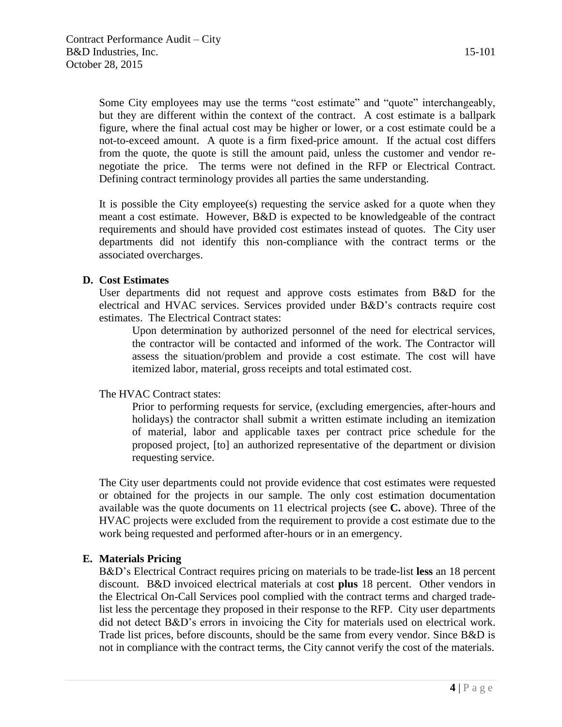Some City employees may use the terms "cost estimate" and "quote" interchangeably, but they are different within the context of the contract. A cost estimate is a ballpark figure, where the final actual cost may be higher or lower, or a cost estimate could be a not-to-exceed amount. A quote is a firm fixed-price amount. If the actual cost differs from the quote, the quote is still the amount paid, unless the customer and vendor renegotiate the price. The terms were not defined in the RFP or Electrical Contract. Defining contract terminology provides all parties the same understanding.

It is possible the City employee(s) requesting the service asked for a quote when they meant a cost estimate. However, B&D is expected to be knowledgeable of the contract requirements and should have provided cost estimates instead of quotes. The City user departments did not identify this non-compliance with the contract terms or the associated overcharges.

#### **D. Cost Estimates**

User departments did not request and approve costs estimates from B&D for the electrical and HVAC services. Services provided under B&D's contracts require cost estimates. The Electrical Contract states:

Upon determination by authorized personnel of the need for electrical services, the contractor will be contacted and informed of the work. The Contractor will assess the situation/problem and provide a cost estimate. The cost will have itemized labor, material, gross receipts and total estimated cost.

#### The HVAC Contract states:

Prior to performing requests for service, (excluding emergencies, after-hours and holidays) the contractor shall submit a written estimate including an itemization of material, labor and applicable taxes per contract price schedule for the proposed project, [to] an authorized representative of the department or division requesting service.

The City user departments could not provide evidence that cost estimates were requested or obtained for the projects in our sample. The only cost estimation documentation available was the quote documents on 11 electrical projects (see **C.** above). Three of the HVAC projects were excluded from the requirement to provide a cost estimate due to the work being requested and performed after-hours or in an emergency.

#### **E. Materials Pricing**

B&D's Electrical Contract requires pricing on materials to be trade-list **less** an 18 percent discount. B&D invoiced electrical materials at cost **plus** 18 percent. Other vendors in the Electrical On-Call Services pool complied with the contract terms and charged tradelist less the percentage they proposed in their response to the RFP. City user departments did not detect B&D's errors in invoicing the City for materials used on electrical work. Trade list prices, before discounts, should be the same from every vendor. Since B&D is not in compliance with the contract terms, the City cannot verify the cost of the materials.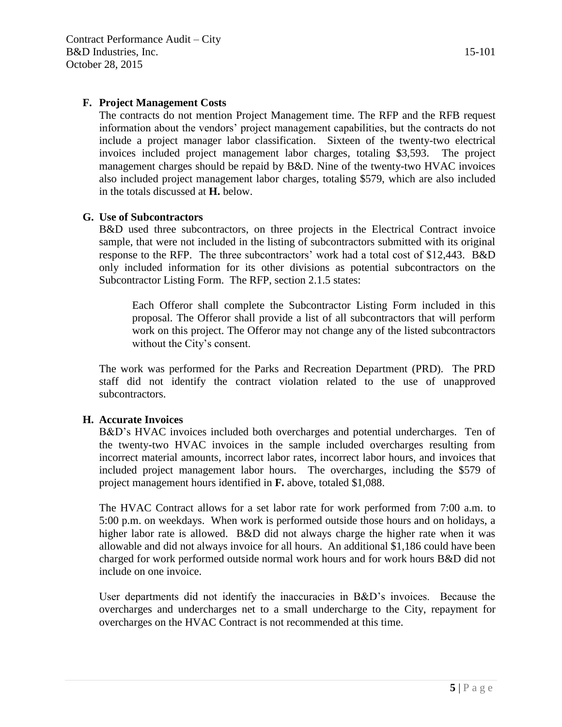#### **F. Project Management Costs**

The contracts do not mention Project Management time. The RFP and the RFB request information about the vendors' project management capabilities, but the contracts do not include a project manager labor classification. Sixteen of the twenty-two electrical invoices included project management labor charges, totaling \$3,593. The project management charges should be repaid by B&D. Nine of the twenty-two HVAC invoices also included project management labor charges, totaling \$579, which are also included in the totals discussed at **H.** below.

#### **G. Use of Subcontractors**

B&D used three subcontractors, on three projects in the Electrical Contract invoice sample, that were not included in the listing of subcontractors submitted with its original response to the RFP. The three subcontractors' work had a total cost of \$12,443. B&D only included information for its other divisions as potential subcontractors on the Subcontractor Listing Form. The RFP, section 2.1.5 states:

Each Offeror shall complete the Subcontractor Listing Form included in this proposal. The Offeror shall provide a list of all subcontractors that will perform work on this project. The Offeror may not change any of the listed subcontractors without the City's consent.

The work was performed for the Parks and Recreation Department (PRD). The PRD staff did not identify the contract violation related to the use of unapproved subcontractors.

#### **H. Accurate Invoices**

B&D's HVAC invoices included both overcharges and potential undercharges. Ten of the twenty-two HVAC invoices in the sample included overcharges resulting from incorrect material amounts, incorrect labor rates, incorrect labor hours, and invoices that included project management labor hours. The overcharges, including the \$579 of project management hours identified in **F.** above, totaled \$1,088.

The HVAC Contract allows for a set labor rate for work performed from 7:00 a.m. to 5:00 p.m. on weekdays. When work is performed outside those hours and on holidays, a higher labor rate is allowed. B&D did not always charge the higher rate when it was allowable and did not always invoice for all hours. An additional \$1,186 could have been charged for work performed outside normal work hours and for work hours B&D did not include on one invoice.

User departments did not identify the inaccuracies in B&D's invoices. Because the overcharges and undercharges net to a small undercharge to the City, repayment for overcharges on the HVAC Contract is not recommended at this time.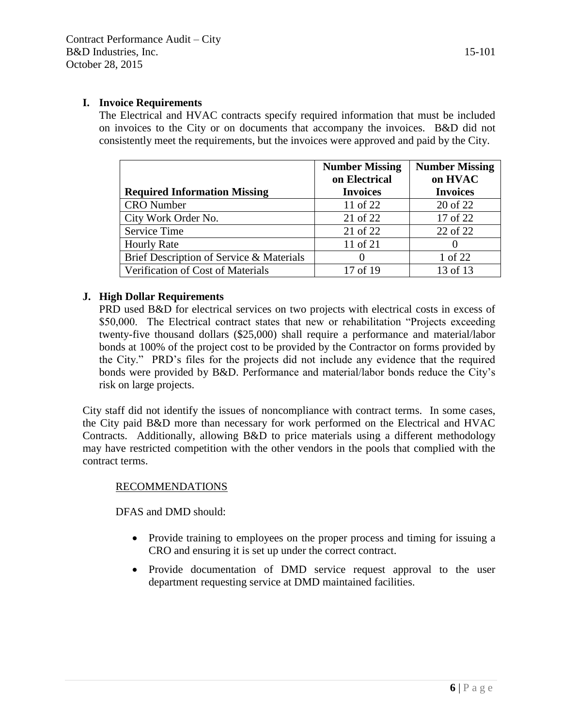#### **I. Invoice Requirements**

The Electrical and HVAC contracts specify required information that must be included on invoices to the City or on documents that accompany the invoices. B&D did not consistently meet the requirements, but the invoices were approved and paid by the City.

|                                          | <b>Number Missing</b><br>on Electrical | <b>Number Missing</b><br>on HVAC |
|------------------------------------------|----------------------------------------|----------------------------------|
| <b>Required Information Missing</b>      | <b>Invoices</b>                        | <b>Invoices</b>                  |
| <b>CRO</b> Number                        | 11 of 22                               | 20 of 22                         |
| City Work Order No.                      | 21 of 22                               | 17 of 22                         |
| <b>Service Time</b>                      | 21 of 22                               | 22 of 22                         |
| <b>Hourly Rate</b>                       | 11 of 21                               |                                  |
| Brief Description of Service & Materials | $\mathbf{\Omega}$                      | 1 of 22                          |
| Verification of Cost of Materials        | 17 of 19                               | 13 of 13                         |

#### **J. High Dollar Requirements**

PRD used B&D for electrical services on two projects with electrical costs in excess of \$50,000. The Electrical contract states that new or rehabilitation "Projects exceeding twenty-five thousand dollars (\$25,000) shall require a performance and material/labor bonds at 100% of the project cost to be provided by the Contractor on forms provided by the City." PRD's files for the projects did not include any evidence that the required bonds were provided by B&D. Performance and material/labor bonds reduce the City's risk on large projects.

City staff did not identify the issues of noncompliance with contract terms. In some cases, the City paid B&D more than necessary for work performed on the Electrical and HVAC Contracts. Additionally, allowing B&D to price materials using a different methodology may have restricted competition with the other vendors in the pools that complied with the contract terms.

#### RECOMMENDATIONS

DFAS and DMD should:

- Provide training to employees on the proper process and timing for issuing a CRO and ensuring it is set up under the correct contract.
- Provide documentation of DMD service request approval to the user department requesting service at DMD maintained facilities.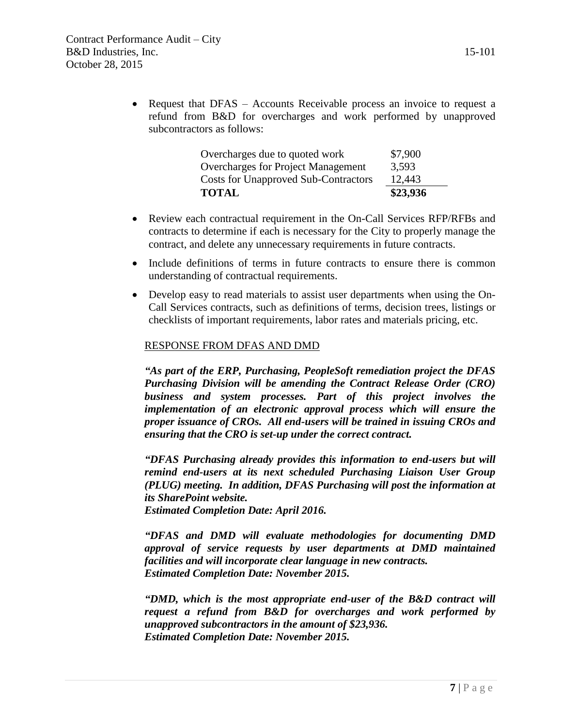|                            |  | refund from B&D for overcharges and work performed by unapproved |  |  |  |
|----------------------------|--|------------------------------------------------------------------|--|--|--|
| subcontractors as follows: |  |                                                                  |  |  |  |
|                            |  |                                                                  |  |  |  |

| <b>TOTAL</b>                                | \$23,936 |
|---------------------------------------------|----------|
| <b>Costs for Unapproved Sub-Contractors</b> | 12,443   |
| Overcharges for Project Management          | 3,593    |
| Overcharges due to quoted work              | \$7,900  |

- Review each contractual requirement in the On-Call Services RFP/RFBs and contracts to determine if each is necessary for the City to properly manage the contract, and delete any unnecessary requirements in future contracts.
- Include definitions of terms in future contracts to ensure there is common understanding of contractual requirements.
- Develop easy to read materials to assist user departments when using the On-Call Services contracts, such as definitions of terms, decision trees, listings or checklists of important requirements, labor rates and materials pricing, etc.

#### RESPONSE FROM DFAS AND DMD

*"As part of the ERP, Purchasing, PeopleSoft remediation project the DFAS Purchasing Division will be amending the Contract Release Order (CRO) business and system processes. Part of this project involves the implementation of an electronic approval process which will ensure the proper issuance of CROs. All end-users will be trained in issuing CROs and ensuring that the CRO is set-up under the correct contract.* 

*"DFAS Purchasing already provides this information to end-users but will remind end-users at its next scheduled Purchasing Liaison User Group (PLUG) meeting. In addition, DFAS Purchasing will post the information at its SharePoint website. Estimated Completion Date: April 2016.*

*"DFAS and DMD will evaluate methodologies for documenting DMD approval of service requests by user departments at DMD maintained facilities and will incorporate clear language in new contracts. Estimated Completion Date: November 2015.*

*"DMD, which is the most appropriate end-user of the B&D contract will request a refund from B&D for overcharges and work performed by unapproved subcontractors in the amount of \$23,936. Estimated Completion Date: November 2015.*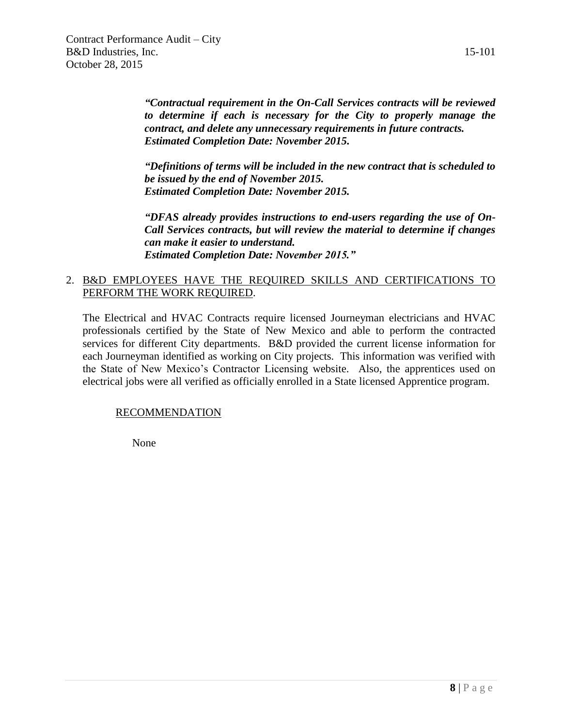*"Contractual requirement in the On-Call Services contracts will be reviewed to determine if each is necessary for the City to properly manage the contract, and delete any unnecessary requirements in future contracts. Estimated Completion Date: November 2015.*

*"Definitions of terms will be included in the new contract that is scheduled to be issued by the end of November 2015. Estimated Completion Date: November 2015.*

*"DFAS already provides instructions to end-users regarding the use of On-Call Services contracts, but will review the material to determine if changes can make it easier to understand. Estimated Completion Date: November 2015."*

#### 2. B&D EMPLOYEES HAVE THE REQUIRED SKILLS AND CERTIFICATIONS TO PERFORM THE WORK REQUIRED.

The Electrical and HVAC Contracts require licensed Journeyman electricians and HVAC professionals certified by the State of New Mexico and able to perform the contracted services for different City departments. B&D provided the current license information for each Journeyman identified as working on City projects. This information was verified with the State of New Mexico's Contractor Licensing website. Also, the apprentices used on electrical jobs were all verified as officially enrolled in a State licensed Apprentice program.

#### RECOMMENDATION

None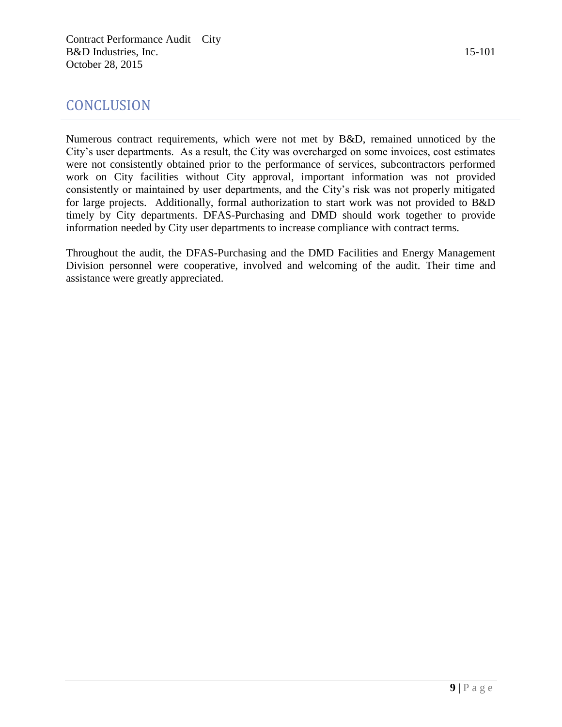#### **CONCLUSION**

Numerous contract requirements, which were not met by B&D, remained unnoticed by the City's user departments. As a result, the City was overcharged on some invoices, cost estimates were not consistently obtained prior to the performance of services, subcontractors performed work on City facilities without City approval, important information was not provided consistently or maintained by user departments, and the City's risk was not properly mitigated for large projects. Additionally, formal authorization to start work was not provided to B&D timely by City departments. DFAS-Purchasing and DMD should work together to provide information needed by City user departments to increase compliance with contract terms.

Throughout the audit, the DFAS-Purchasing and the DMD Facilities and Energy Management Division personnel were cooperative, involved and welcoming of the audit. Their time and assistance were greatly appreciated.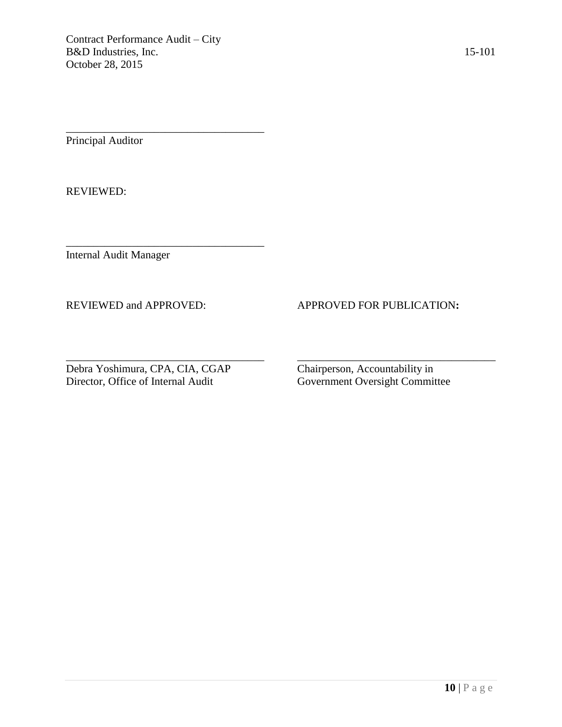\_\_\_\_\_\_\_\_\_\_\_\_\_\_\_\_\_\_\_\_\_\_\_\_\_\_\_\_\_\_\_\_\_\_\_\_

\_\_\_\_\_\_\_\_\_\_\_\_\_\_\_\_\_\_\_\_\_\_\_\_\_\_\_\_\_\_\_\_\_\_\_\_

Principal Auditor

REVIEWED:

Internal Audit Manager

#### REVIEWED and APPROVED: APPROVED FOR PUBLICATION**:**

Debra Yoshimura, CPA, CIA, CGAP Chairperson, Accountability in

Government Oversight Committee

\_\_\_\_\_\_\_\_\_\_\_\_\_\_\_\_\_\_\_\_\_\_\_\_\_\_\_\_\_\_\_\_\_\_\_\_ \_\_\_\_\_\_\_\_\_\_\_\_\_\_\_\_\_\_\_\_\_\_\_\_\_\_\_\_\_\_\_\_\_\_\_\_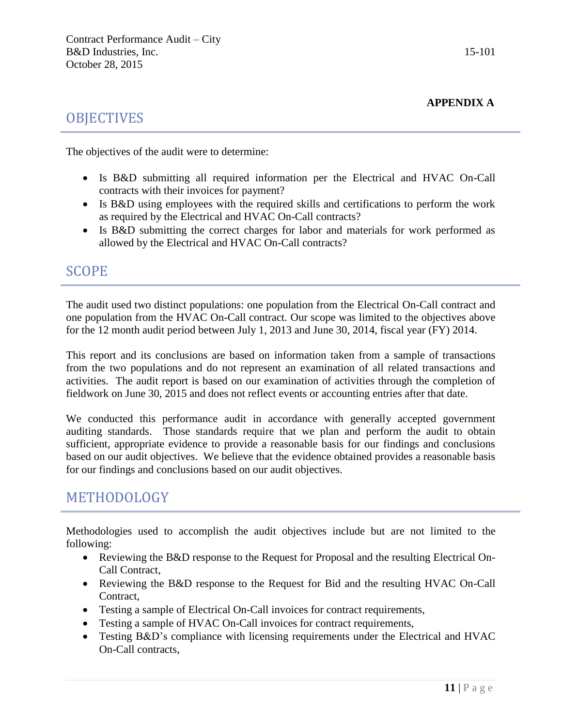#### **OBJECTIVES**

The objectives of the audit were to determine:

- Is B&D submitting all required information per the Electrical and HVAC On-Call contracts with their invoices for payment?
- Is B&D using employees with the required skills and certifications to perform the work as required by the Electrical and HVAC On-Call contracts?
- Is B&D submitting the correct charges for labor and materials for work performed as allowed by the Electrical and HVAC On-Call contracts?

#### SCOPE

The audit used two distinct populations: one population from the Electrical On-Call contract and one population from the HVAC On-Call contract. Our scope was limited to the objectives above for the 12 month audit period between July 1, 2013 and June 30, 2014, fiscal year (FY) 2014.

This report and its conclusions are based on information taken from a sample of transactions from the two populations and do not represent an examination of all related transactions and activities. The audit report is based on our examination of activities through the completion of fieldwork on June 30, 2015 and does not reflect events or accounting entries after that date.

We conducted this performance audit in accordance with generally accepted government auditing standards. Those standards require that we plan and perform the audit to obtain sufficient, appropriate evidence to provide a reasonable basis for our findings and conclusions based on our audit objectives. We believe that the evidence obtained provides a reasonable basis for our findings and conclusions based on our audit objectives.

#### METHODOLOGY

Methodologies used to accomplish the audit objectives include but are not limited to the following:

- Reviewing the B&D response to the Request for Proposal and the resulting Electrical On-Call Contract,
- Reviewing the B&D response to the Request for Bid and the resulting HVAC On-Call Contract,
- Testing a sample of Electrical On-Call invoices for contract requirements,
- Testing a sample of HVAC On-Call invoices for contract requirements,
- Testing B&D's compliance with licensing requirements under the Electrical and HVAC On-Call contracts,